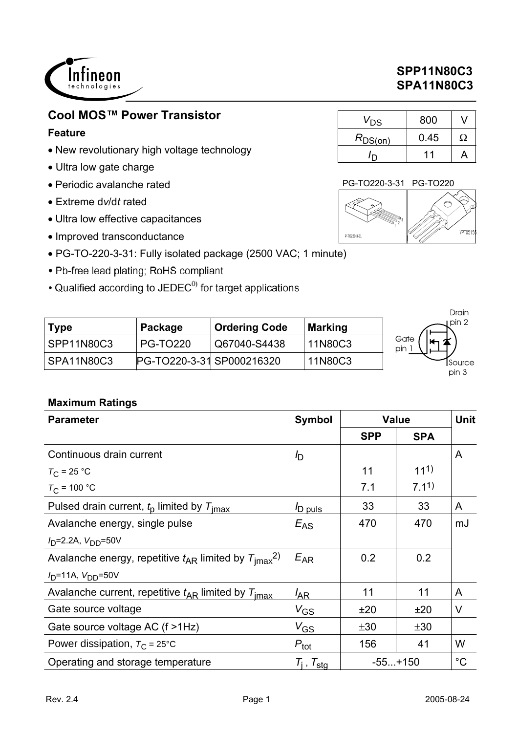

# **Cool MOS™ Power Transistor**

### **Feature**

- New revolutionary high voltage technology
- Ultra low gate charge
- Periodic avalanche rated
- Extreme d*v*/d*t* rated
- Ultra low effective capacitances
- Improved transconductance
- PG-TO-220-3-31: Fully isolated package (2500 VAC; 1 minute)
- Pb-free lead plating; RoHS compliant
- Qualified according to JEDEC<sup>0)</sup> for target applications

|             |                           |                      |                | Drain       |
|-------------|---------------------------|----------------------|----------------|-------------|
| <b>Type</b> | Package                   | <b>Ordering Code</b> | <b>Marking</b> | ı pin 2     |
| SPP11N80C3  | <b>PG-TO220</b>           | Q67040-S4438         | 11N80C3        | Gate<br>pin |
| SPA11N80C3  | PG-TO220-3-31 SP000216320 |                      | 11N80C3        | Source      |
|             |                           |                      |                | pin 3       |

### **Maximum Ratings**

| <b>Parameter</b>                                                         | <b>Symbol</b>     |            | <b>Value</b>     |             |  |
|--------------------------------------------------------------------------|-------------------|------------|------------------|-------------|--|
|                                                                          |                   | <b>SPP</b> | <b>SPA</b>       |             |  |
| Continuous drain current                                                 | I <sub>D</sub>    |            |                  | A           |  |
| $T_{\rm C}$ = 25 °C                                                      |                   | 11         | $11^{1}$         |             |  |
| $T_{C}$ = 100 °C                                                         |                   | 7.1        | 7.1 <sup>1</sup> |             |  |
| Pulsed drain current, $t_0$ limited by $T_{\text{imax}}$                 | D puls            | 33         | 33               | A           |  |
| Avalanche energy, single pulse                                           | $E_{AS}$          | 470        | 470              | mJ          |  |
| $I_D$ =2.2A, $V_{DD}$ =50V                                               |                   |            |                  |             |  |
| Avalanche energy, repetitive $t_{AR}$ limited by $T_{\text{imax}}^{2}$ . | $E_{AR}$          | 0.2        | 0.2              |             |  |
| $I_D$ =11A, $V_{DD}$ =50V                                                |                   |            |                  |             |  |
| Avalanche current, repetitive $t_{AR}$ limited by $T_{\text{imax}}$      | $I_{AR}$          | 11         | 11               | A           |  |
| Gate source voltage                                                      | $V_{GS}$          | ±20        | ±20              | $\vee$      |  |
| Gate source voltage AC (f >1Hz)                                          | $V_{GS}$          | ±30        | ±30              |             |  |
| Power dissipation, $T_{\rm C}$ = 25°C                                    | $P_{\text{tot}}$  | 156        | 41               | W           |  |
| Operating and storage temperature                                        | $T_i$ , $T_{sta}$ |            | $-55+150$        | $^{\circ}C$ |  |

# **SPP11N80C3 SPA11N80C3**

| $V_\mathsf{DS}$  | 800  |   |
|------------------|------|---|
| $R_{\rm DS(on)}$ | 0.45 | Ω |
|                  | 11   |   |

#### PG-TO220-3-31 PG-TO220

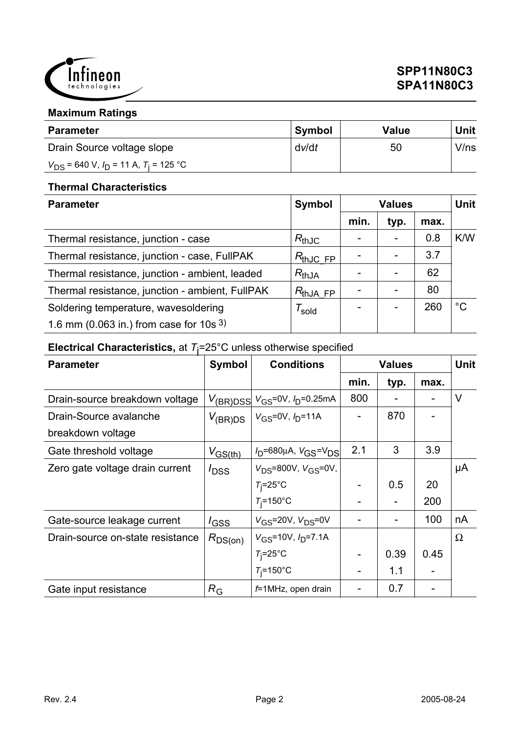

### **Maximum Ratings**

| <b>Parameter</b>                               | <b>Symbol</b> | Value | Unit |
|------------------------------------------------|---------------|-------|------|
| Drain Source voltage slope                     | dv/dt         | 50    | V/ns |
| $V_{DS}$ = 640 V, $I_D$ = 11 A, $T_i$ = 125 °C |               |       |      |

### **Thermal Characteristics**

| <b>Parameter</b>                                | Symbol                                  | <b>Values</b> |                 |      | <b>Unit</b> |
|-------------------------------------------------|-----------------------------------------|---------------|-----------------|------|-------------|
|                                                 |                                         | min.          | typ.            | max. |             |
| Thermal resistance, junction - case             | $R_{thJC}$                              |               |                 | 0.8  | K/W         |
| Thermal resistance, junction - case, FullPAK    | $R_{thJC, FP}$                          |               |                 | 3.7  |             |
| Thermal resistance, junction - ambient, leaded  | $R_{thJA}$                              |               |                 | 62   |             |
| Thermal resistance, junction - ambient, FullPAK | $R_{thJ\underline{A} \ F\underline{P}}$ |               |                 | 80   |             |
| Soldering temperature, wavesoldering            | I <sub>sold</sub>                       |               | $\qquad \qquad$ | 260  | $^{\circ}C$ |
| 1.6 mm (0.063 in.) from case for $10s^{3}$      |                                         |               |                 |      |             |

# **Electrical Characteristics,** at *T*j =25°C unless otherwise specified

| <b>Parameter</b>                 | Symbol              | <b>Conditions</b>                                       | <b>Values</b> |      |      | Unit     |
|----------------------------------|---------------------|---------------------------------------------------------|---------------|------|------|----------|
|                                  |                     |                                                         | min.          | typ. | max. |          |
| Drain-source breakdown voltage   |                     | $V_{\rm (BR)DSS}$ $V_{\rm GS}$ =0V, $I_{\rm D}$ =0.25mA | 800           |      |      | V        |
| Drain-Source avalanche           | $V_{(\text{BR})DS}$ | $V_{GS} = 0V$ , $I_{D} = 11A$                           |               | 870  |      |          |
| breakdown voltage                |                     |                                                         |               |      |      |          |
| Gate threshold voltage           | $V_{GS(th)}$        | $V_D$ =680µA, $V_{GS}$ = $V_{DS}$                       | 2.1           | 3    | 3.9  |          |
| Zero gate voltage drain current  | $I_{\text{DSS}}$    | $V_{DS} = 800V, V_{GS} = 0V,$                           |               |      |      | μA       |
|                                  |                     | $T_i = 25$ °C                                           |               | 0.5  | 20   |          |
|                                  |                     | $T_i = 150$ °C                                          |               |      | 200  |          |
| Gate-source leakage current      | $I_{\text{GSS}}$    | $V_{GS}$ =20V, $V_{DS}$ =0V                             |               |      | 100  | nA       |
| Drain-source on-state resistance | $R_{DS(on)}$        | $V_{GS}$ =10V, $I_{D}$ =7.1A                            |               |      |      | $\Omega$ |
|                                  |                     | $T_i = 25^\circ \text{C}$                               |               | 0.39 | 0.45 |          |
|                                  |                     | $T_i = 150^{\circ}$ C                                   |               | 1.1  |      |          |
| Gate input resistance            | $R_{\rm G}$         | f=1MHz, open drain                                      |               | 0.7  |      |          |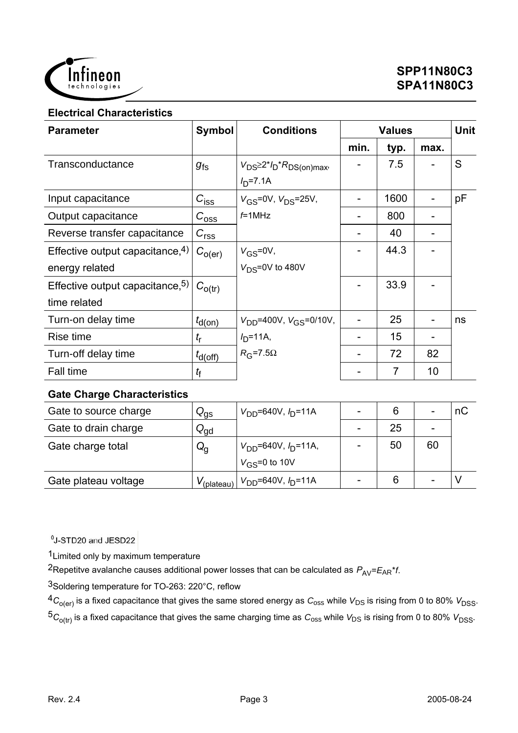

#### **Electrical Characteristics**

| <b>Parameter</b>                            | <b>Symbol</b><br><b>Conditions</b> |                                            | <b>Values</b> |      |      | <b>Unit</b> |
|---------------------------------------------|------------------------------------|--------------------------------------------|---------------|------|------|-------------|
|                                             |                                    |                                            | min.          | typ. | max. |             |
| Transconductance                            | $g_{\mathsf{fs}}$                  | $V_{DS} \geq 2^{*}I_D {}^{*}R_{DS(on)max}$ |               | 7.5  |      | S           |
|                                             |                                    | $ID=7.1A$                                  |               |      |      |             |
| Input capacitance                           | $C_{\text{iss}}$                   | $V_{GS} = 0V$ , $V_{DS} = 25V$ ,           | ۰             | 1600 |      | pF          |
| Output capacitance                          | $C_{\rm 0SS}$                      | $f=1$ MHz                                  |               | 800  |      |             |
| Reverse transfer capacitance                | $C_{\rm rss}$                      |                                            |               | 40   |      |             |
| Effective output capacitance, 4)            | $C_{O(\text{er})}$                 | $V_{GS} = 0V$ ,                            |               | 44.3 |      |             |
| energy related                              |                                    | $V_{DS} = 0V$ to 480V                      |               |      |      |             |
| Effective output capacitance, <sup>5)</sup> | $C_{O(tr)}$                        |                                            |               | 33.9 |      |             |
| time related                                |                                    |                                            |               |      |      |             |
| Turn-on delay time                          | $t_{\mathsf{d}(on)}$               | $V_{DD}$ =400V, $V_{GS}$ =0/10V,           |               | 25   |      | ns          |
| Rise time                                   | $t_{\sf r}$                        | $I_{D} = 11A,$                             |               | 15   |      |             |
| Turn-off delay time                         | $t_{\text{d(off)}}$                | $R_G$ =7.5 $\Omega$                        |               | 72   | 82   |             |
| <b>Fall time</b>                            | t <sub>f</sub>                     |                                            |               | 7    | 10   |             |

#### **Gate Charge Characteristics**

| Gate to source charge | $Q_{\rm{gs}}$          | $V_{DD} = 640V, I_D = 11A$  |    |    | пC |
|-----------------------|------------------------|-----------------------------|----|----|----|
| Gate to drain charge  | $\rm Q_{gd}$           |                             | 25 |    |    |
| Gate charge total     | $Q_{\rm q}$            | $V_{DD}$ =640V, $I_D$ =11A, | 50 | 60 |    |
|                       |                        | $V_{\rm GS} = 0$ to 10V     |    |    |    |
| Gate plateau voltage  | $V_{(\text{plateau})}$ | $V_{DD} = 640V, I_D = 11A$  |    |    |    |

<sup>0</sup>J-STD20 and JESD22

1Limited only by maximum temperature

<sup>2</sup>Repetitve avalanche causes additional power losses that can be calculated as  $P_{AV} = E_{AR} * f$ .

3Soldering temperature for TO-263: 220°C, reflow

 ${}^4C_{O(er)}$  is a fixed capacitance that gives the same stored energy as  $C_{0ss}$  while  $V_{DS}$  is rising from 0 to 80%  $V_{DSS}$ .  ${}^5C_{\text{o(tr)}}$  is a fixed capacitance that gives the same charging time as  $C_{\text{oss}}$  while  $V_{DS}$  is rising from 0 to 80%  $V_{DSS}$ .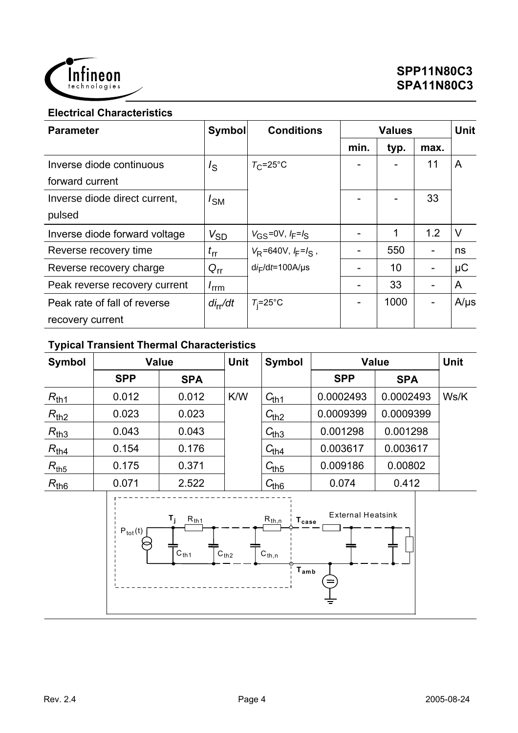

### **Electrical Characteristics**

| <b>Parameter</b>              | <b>Symbol</b>    | <b>Conditions</b>         | <b>Values</b> |      |      | <b>Unit</b> |
|-------------------------------|------------------|---------------------------|---------------|------|------|-------------|
|                               |                  |                           | min.          | typ. | max. |             |
| Inverse diode continuous      | $I_{\rm S}$      | $T_{\rm C}$ =25°C         |               |      | 11   | A           |
| forward current               |                  |                           |               |      |      |             |
| Inverse diode direct current. | / <sub>SM</sub>  |                           |               |      | 33   |             |
| pulsed                        |                  |                           |               |      |      |             |
| Inverse diode forward voltage | $V_{SD}$         | $V_{GS} = 0V, I_F = I_S$  |               | 1    | 1.2  | $\vee$      |
| Reverse recovery time         | $t_{\rm rr}$     | $V_R = 640V, F = I_S$ ,   |               | 550  |      | ns          |
| Reverse recovery charge       | $Q_{rr}$         | $di_F/dt = 100A/\mu s$    |               | 10   |      | $\mu$ C     |
| Peak reverse recovery current | $I_{\text{rrm}}$ |                           |               | 33   |      | A           |
| Peak rate of fall of reverse  | $di_{rr}/dt$     | $T_i = 25^\circ \text{C}$ |               | 1000 |      | $A/\mu s$   |
| recovery current              |                  |                           |               |      |      |             |

# **Typical Transient Thermal Characteristics**

| <b>Symbol</b>                                                                                                                                                                                                                       |            | <b>Value</b> | <b>Unit</b> | <b>Symbol</b>         |            | Value      |      |
|-------------------------------------------------------------------------------------------------------------------------------------------------------------------------------------------------------------------------------------|------------|--------------|-------------|-----------------------|------------|------------|------|
|                                                                                                                                                                                                                                     | <b>SPP</b> | <b>SPA</b>   |             |                       | <b>SPP</b> | <b>SPA</b> |      |
| $R_{th1}$                                                                                                                                                                                                                           | 0.012      | 0.012        | K/W         | $C_{th1}$             | 0.0002493  | 0.0002493  | Ws/K |
| $R_{\underline{\text{th2}}}$                                                                                                                                                                                                        | 0.023      | 0.023        |             | $C_{\underline{th2}}$ | 0.0009399  | 0.0009399  |      |
| $R_{th3}$                                                                                                                                                                                                                           | 0.043      | 0.043        |             | $C_{th3}$             | 0.001298   | 0.001298   |      |
| $R_{th4}$                                                                                                                                                                                                                           | 0.154      | 0.176        |             | $C_{t\underline{h4}}$ | 0.003617   | 0.003617   |      |
| $R_{th5}$                                                                                                                                                                                                                           | 0.175      | 0.371        |             | $C_{th5}$             | 0.009186   | 0.00802    |      |
| $R_{th6}$                                                                                                                                                                                                                           | 0.071      | 2.522        |             | $C_{th6}$             | 0.074      | 0.412      |      |
| <b>External Heatsink</b><br>$T_{\rm j}$<br>$R_{\underline{th1}}$<br>$R_{\underline{th},n}$<br>$T_{\rm case}$<br>$\mathsf{P}_{\mathsf{tot}}(\mathsf{t})$<br>$C_{th2}$<br>$C_{th1}$<br>$C_{th,n}$<br>$\mathsf{T}_{\mathsf{amb}}$<br>= |            |              |             |                       |            |            |      |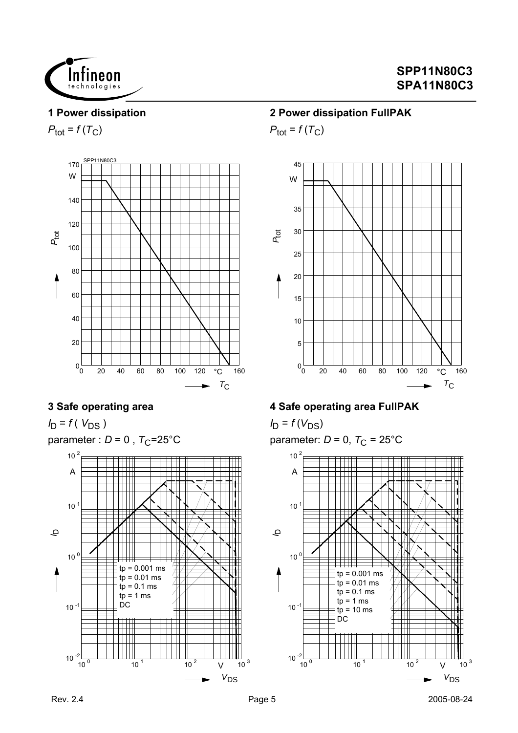

#### **1 Power dissipation**

 $P_{\text{tot}} = f(T_C)$ 



### **3 Safe operating area**

*I*<sub>D</sub> = *f* ( *V*<sub>DS</sub> ) parameter :  $D = 0$ ,  $T_C = 25^{\circ}$ C



### **2 Power dissipation FullPAK**

 $P_{\text{tot}} = f(T_C)$ 



### **4 Safe operating area FullPAK**

 $I_D = f(V_{DS})$ parameter:  $D = 0$ ,  $T_C = 25^{\circ}$ C

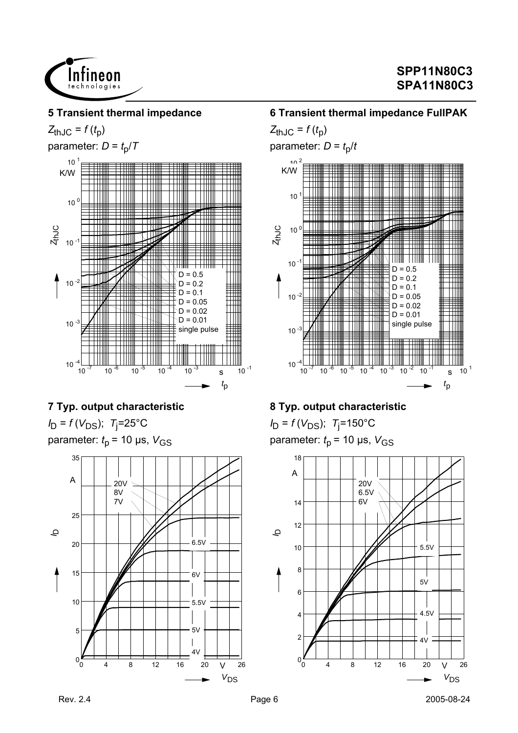

#### **5 Transient thermal impedance**

 $Z_{thJC} = f(t_p)$ 

parameter:  $D = t_0/T$ 



## **7 Typ. output characteristic**

*I*<sub>D</sub> = *f* (*V*<sub>DS</sub>); *T*<sub>j</sub>=25°C parameter:  $t_p$  = 10 µs,  $V_{GS}$ 



### **6 Transient thermal impedance FullPAK**

 $Z_{thJC} = f(t_p)$ parameter:  $D = t_0/t$ 



## **8 Typ. output characteristic**

 $I_D = f(V_{DS})$ ; T<sub>j</sub>=150°C parameter:  $t_p$  = 10 µs,  $V_{GS}$ 

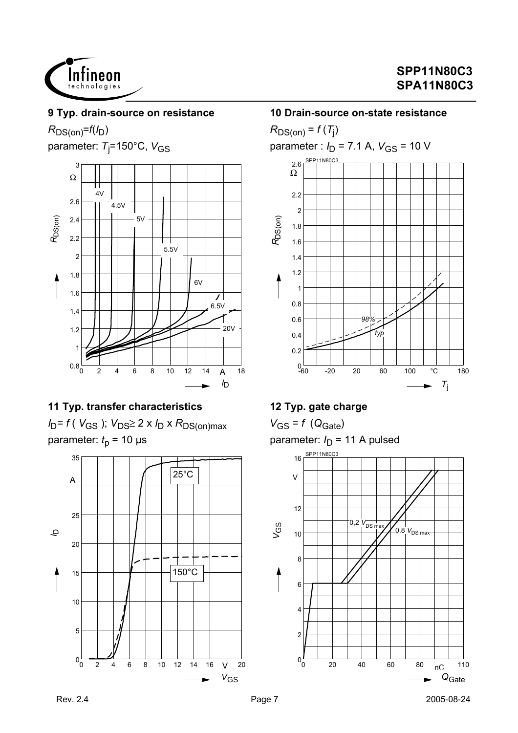

#### **9 Typ. drain-source on resistance**

# $R_{DS(on)}=f(I_D)$

parameter: T<sub>j</sub>=150°C, V<sub>GS</sub>



## **11 Typ. transfer characteristics**

*I*<sub>D</sub>= *f* ( *V*<sub>GS</sub> ); *V*<sub>DS</sub>≥ 2 x *I*<sub>D</sub> x *R*<sub>DS(on)max</sub> parameter:  $t<sub>p</sub>$  = 10 µs



#### **10 Drain-source on-state resistance**

 $R_{DS(on)}$  = *f* (*T*<sub>j</sub>) parameter :  $I_D$  = 7.1 A,  $V_{GS}$  = 10 V 0.2 0.4 0.6 0.8 1 1.2 1.4 1.6 1.8 2 2.2 Ω  $2.6 \frac{\text{SPP11N80C}}{1}$ *R*DS(on) *typ 98%*

-60 -20 20 60 100 °C 180

 $T_i$ 

## **12 Typ. gate charge**

 $0 - 60$ 

 $V_{GS} = f (Q_{Gate})$ parameter:  $I_D$  = 11 A pulsed

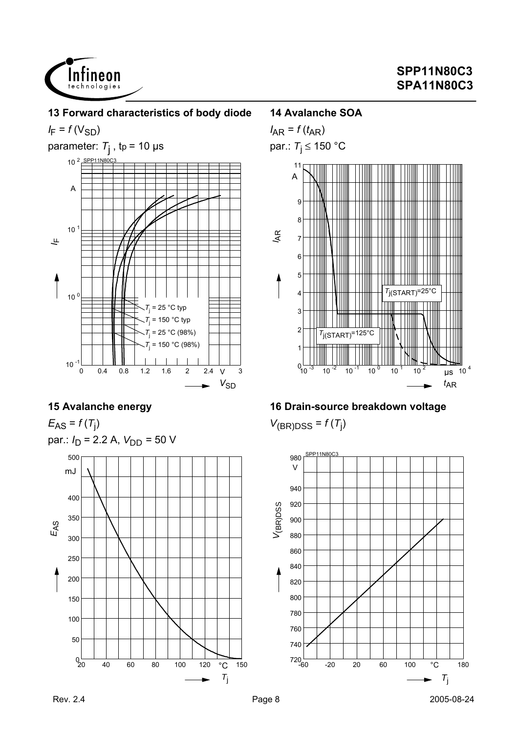



## **15 Avalanche energy**

 $E_{AS} = f(T_{j})$ par.:  $I_D$  = 2.2 A,  $V_{DD}$  = 50 V



### **14 Avalanche SOA**



# **16 Drain-source breakdown voltage**

 $V_{(BR)DSS} = f(T_j)$ 

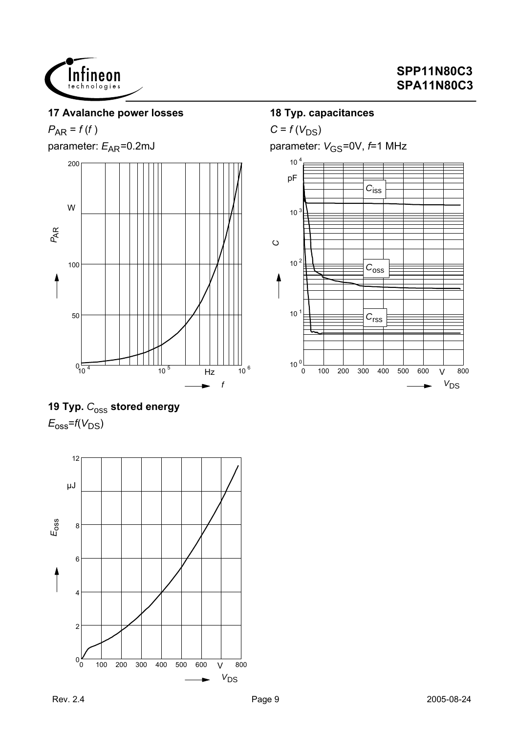

### **17 Avalanche power losses**

# $P_{AR} = f(f)$

parameter:  $E_{AR}$ =0.2mJ



# 19 Typ.  $C_{\text{OSS}}$  stored energy  $E_{\rm oss}$ = $f(V_{\rm DS})$



### **18 Typ. capacitances**

 $C = f(V_{DS})$ 

parameter:  $V_{\text{GS}}$ =0V,  $f$ =1 MHz

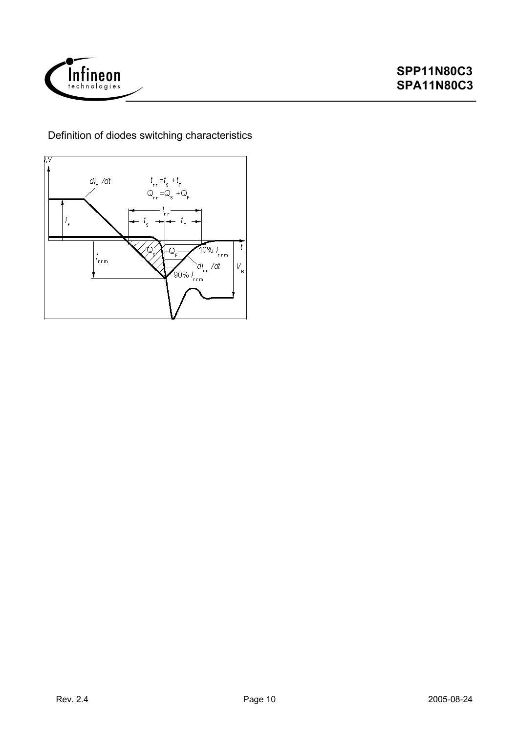

Definition of diodes switching characteristics

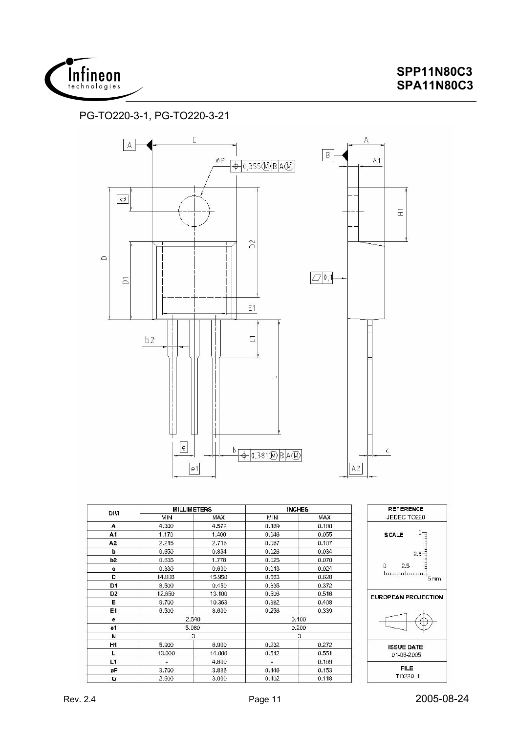

### PG-TO220-3-1, PG-TO220-3-21



**ISSUE DATE** 

01-06-2005

**FILE** 

TO220\_1

 $0.232$ 

 $0.512$ 

 $0.146$ 

0.102

3

 $0.272$ 

 $0.551$ 

 $0.189$ 

 $0.153$ 

 $0.118$ 

N

 $H1$ 

L

 $L1$ 

øP

Q

 $\mathbf{R}$ 

6.900

14.000

4.800

3.886

3.000

5.900

13.000

3.700

2.600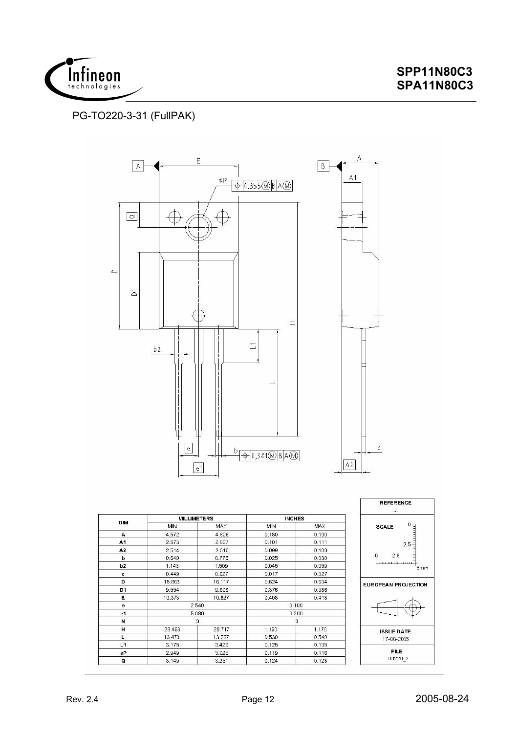

### PG-TO220-3-31 (FullPAK)